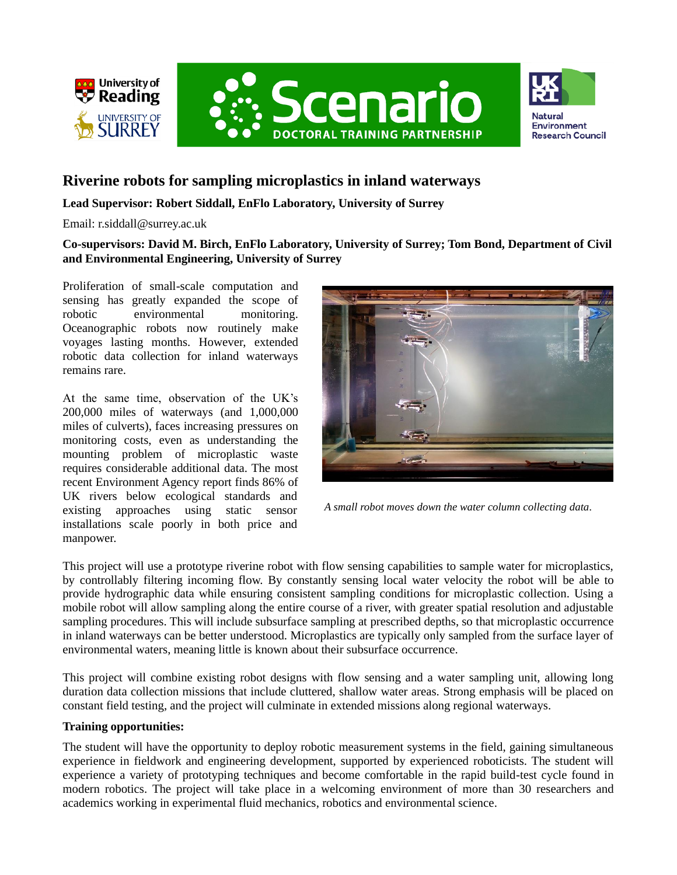





## **Riverine robots for sampling microplastics in inland waterways**

## **Lead Supervisor: Robert Siddall, EnFlo Laboratory, University of Surrey**

Email: r.siddall@surrey.ac.uk

**Co-supervisors: David M. Birch, EnFlo Laboratory, University of Surrey; Tom Bond, Department of Civil and Environmental Engineering, University of Surrey**

Proliferation of small-scale computation and sensing has greatly expanded the scope of robotic environmental monitoring. Oceanographic robots now routinely make voyages lasting months. However, extended robotic data collection for inland waterways remains rare.

At the same time, observation of the UK's 200,000 miles of waterways (and 1,000,000 miles of culverts), faces increasing pressures on monitoring costs, even as understanding the mounting problem of microplastic waste requires considerable additional data. The most recent Environment Agency report finds 86% of UK rivers below ecological standards and existing approaches using static sensor installations scale poorly in both price and manpower.



*A small robot moves down the water column collecting data.*

This project will use a prototype riverine robot with flow sensing capabilities to sample water for microplastics, by controllably filtering incoming flow. By constantly sensing local water velocity the robot will be able to provide hydrographic data while ensuring consistent sampling conditions for microplastic collection. Using a mobile robot will allow sampling along the entire course of a river, with greater spatial resolution and adjustable sampling procedures. This will include subsurface sampling at prescribed depths, so that microplastic occurrence in inland waterways can be better understood. Microplastics are typically only sampled from the surface layer of environmental waters, meaning little is known about their subsurface occurrence.

This project will combine existing robot designs with flow sensing and a water sampling unit, allowing long duration data collection missions that include cluttered, shallow water areas. Strong emphasis will be placed on constant field testing, and the project will culminate in extended missions along regional waterways.

## **Training opportunities:**

The student will have the opportunity to deploy robotic measurement systems in the field, gaining simultaneous experience in fieldwork and engineering development, supported by experienced roboticists. The student will experience a variety of prototyping techniques and become comfortable in the rapid build-test cycle found in modern robotics. The project will take place in a welcoming environment of more than 30 researchers and academics working in experimental fluid mechanics, robotics and environmental science.